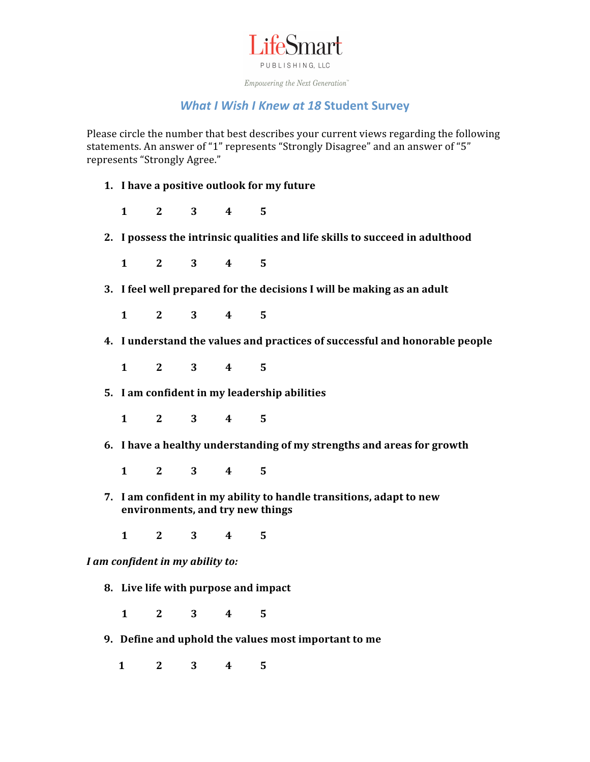

Empowering the Next Generation<sup>"</sup>

## *What I Wish I Knew at 18* **Student Survey**

Please circle the number that best describes your current views regarding the following statements. An answer of "1" represents "Strongly Disagree" and an answer of "5" represents "Strongly Agree."

**1. I have a positive outlook for my future**

**1 2 3 4 5**

**2. I possess
the
intrinsic
qualities
and
life
skills
to
succeed
in
adulthood**

**1 2 3 4 5**

**3. I feel well prepared for the decisions I will be making as an adult**

**1 2 3 4 5**

- **4. I
understand
the
values
and
practices
of
successful
and
honorable
people**
- **1 2 3 4 5**
	- **5. I am confident in my leadership abilities**
- **1 2 3 4 5**
	- **6. I have a healthy understanding of my strengths and areas for growth**

**1 2 3 4 5**

**7. I am confident in my ability to handle transitions, adapt to new environments, and try new things**

**1 2 3 4 5**

*I am confident in my ability to:*

**8. Live life with purpose and impact**

**1 2 3 4 5**

- 9. Define and uphold the values most important to me
	- **1 2 3 4 5**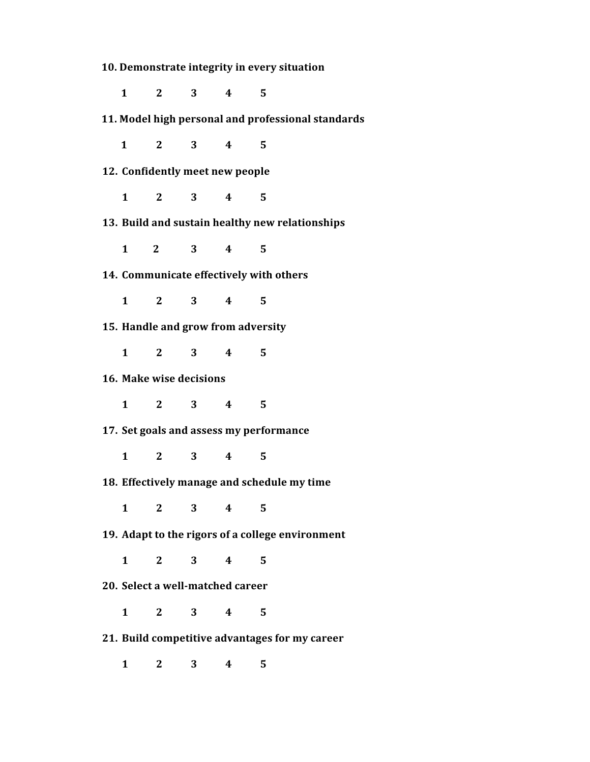10. Demonstrate integrity in every situation

**1 2 3 4 5**

**11.
Model
high
personal
and
professional
standards**

 **1 2 3 4 5**

**12. Confidently
meet
new
people**

**1 2 3 4 5**

**13. Build
and
sustain
healthy
new
relationships**

**1

2 3 4 5**

**14. Communicate
effectively
with
others**

**1 2 3 4 5**

**15. Handle
and
grow
from
adversity**

**1 2 3 4 5**

**16. Make
wise
decisions**

**1 2 3 4 5**

**17. Set
goals
and
assess
my
performance**

**1 2 3 4 5**

**18. Effectively
manage
and
schedule
my
time**

**1 2 3 4 5**

**19. Adapt
to
the
rigors
of
a
college
environment**

**1 2 3 4 5**

20. Select a well-matched career

**1 2 3 4 5**

**21. Build
competitive
advantages
for
my
career**

**1 2 3 4 5**